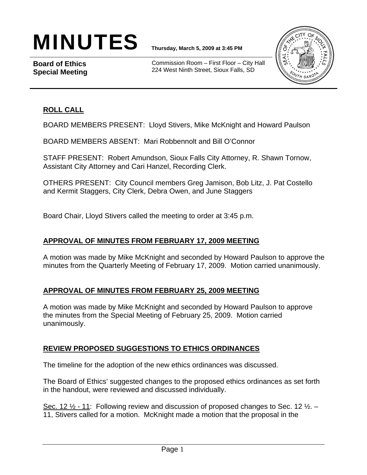# $\textbf{MINUTE}$ S **Thursday, March 5, 2009 at 3:45 PM**

**Board of Ethics Special Meeting** 

Commission Room – First Floor – City Hall 224 West Ninth Street, Sioux Falls, SD



## **ROLL CALL**

BOARD MEMBERS PRESENT: Lloyd Stivers, Mike McKnight and Howard Paulson

BOARD MEMBERS ABSENT: Mari Robbennolt and Bill O'Connor

STAFF PRESENT: Robert Amundson, Sioux Falls City Attorney, R. Shawn Tornow, Assistant City Attorney and Cari Hanzel, Recording Clerk.

OTHERS PRESENT: City Council members Greg Jamison, Bob Litz, J. Pat Costello and Kermit Staggers, City Clerk, Debra Owen, and June Staggers

Board Chair, Lloyd Stivers called the meeting to order at 3:45 p.m.

#### **APPROVAL OF MINUTES FROM FEBRUARY 17, 2009 MEETING**

A motion was made by Mike McKnight and seconded by Howard Paulson to approve the minutes from the Quarterly Meeting of February 17, 2009. Motion carried unanimously.

#### **APPROVAL OF MINUTES FROM FEBRUARY 25, 2009 MEETING**

A motion was made by Mike McKnight and seconded by Howard Paulson to approve the minutes from the Special Meeting of February 25, 2009. Motion carried unanimously.

#### **REVIEW PROPOSED SUGGESTIONS TO ETHICS ORDINANCES**

The timeline for the adoption of the new ethics ordinances was discussed.

The Board of Ethics' suggested changes to the proposed ethics ordinances as set forth in the handout, were reviewed and discussed individually.

Sec. 12 ½ - 11: Following review and discussion of proposed changes to Sec. 12 ½. – 11, Stivers called for a motion. McKnight made a motion that the proposal in the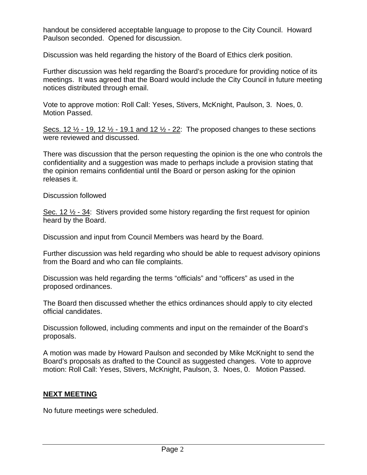handout be considered acceptable language to propose to the City Council. Howard Paulson seconded. Opened for discussion.

Discussion was held regarding the history of the Board of Ethics clerk position.

Further discussion was held regarding the Board's procedure for providing notice of its meetings. It was agreed that the Board would include the City Council in future meeting notices distributed through email.

Vote to approve motion: Roll Call: Yeses, Stivers, McKnight, Paulson, 3. Noes, 0. Motion Passed.

Secs. 12  $\frac{1}{2}$  - 19, 12  $\frac{1}{2}$  - 19.1 and 12  $\frac{1}{2}$  - 22: The proposed changes to these sections were reviewed and discussed.

There was discussion that the person requesting the opinion is the one who controls the confidentiality and a suggestion was made to perhaps include a provision stating that the opinion remains confidential until the Board or person asking for the opinion releases it.

Discussion followed

Sec. 12  $\frac{1}{2}$  - 34: Stivers provided some history regarding the first request for opinion heard by the Board.

Discussion and input from Council Members was heard by the Board.

Further discussion was held regarding who should be able to request advisory opinions from the Board and who can file complaints.

Discussion was held regarding the terms "officials" and "officers" as used in the proposed ordinances.

The Board then discussed whether the ethics ordinances should apply to city elected official candidates.

Discussion followed, including comments and input on the remainder of the Board's proposals.

A motion was made by Howard Paulson and seconded by Mike McKnight to send the Board's proposals as drafted to the Council as suggested changes. Vote to approve motion: Roll Call: Yeses, Stivers, McKnight, Paulson, 3. Noes, 0. Motion Passed.

#### **NEXT MEETING**

No future meetings were scheduled.